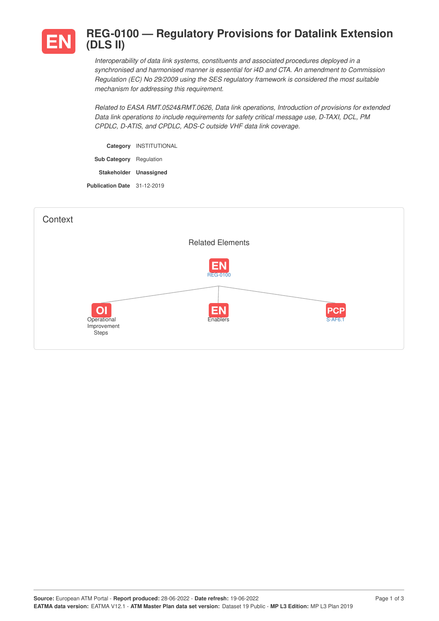

## **REG-0100 — Regulatory Provisions for Datalink Extension (DLS II)**

*Interoperability of data link systems, constituents and associated procedures deployed in a synchronised and harmonised manner is essential for i4D and CTA. An amendment to Commission Regulation (EC) No 29/2009 using the SES regulatory framework is considered the most suitable mechanism for addressing this requirement.*

*Related to EASA RMT.0524&RMT.0626, Data link operations, Introduction of provisions for extended Data link operations to include requirements for safety critical message use, D-TAXI, DCL, PM CPDLC, D-ATIS, and CPDLC, ADS-C outside VHF data link coverage.*

**Category** INSTITUTIONAL **Sub Category** Regulation **Stakeholder Unassigned Publication Date** 31-12-2019

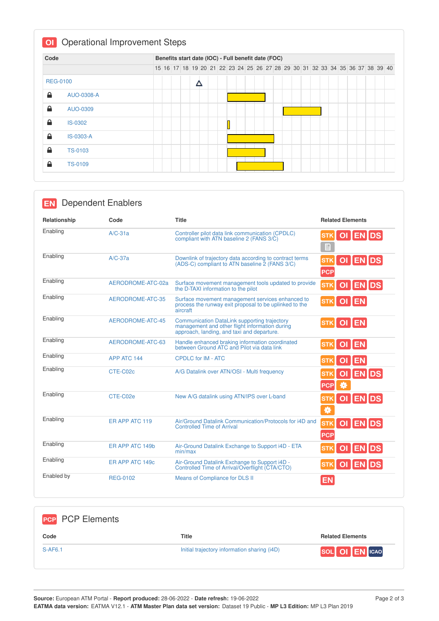| Code            |                |  |  |   |  | Benefits start date (IOC) - Full benefit date (FOC)                           |  |  |  |  |  |  |  |  |  |
|-----------------|----------------|--|--|---|--|-------------------------------------------------------------------------------|--|--|--|--|--|--|--|--|--|
|                 |                |  |  |   |  | 15 16 17 18 19 20 21 22 23 24 25 26 27 28 29 30 31 32 33 34 35 36 37 38 39 40 |  |  |  |  |  |  |  |  |  |
| <b>REG-0100</b> |                |  |  | Δ |  |                                                                               |  |  |  |  |  |  |  |  |  |
| ≙               | AUO-0308-A     |  |  |   |  |                                                                               |  |  |  |  |  |  |  |  |  |
| ≙               | AUO-0309       |  |  |   |  |                                                                               |  |  |  |  |  |  |  |  |  |
| ≙               | <b>IS-0302</b> |  |  |   |  |                                                                               |  |  |  |  |  |  |  |  |  |
| ≙               | IS-0303-A      |  |  |   |  |                                                                               |  |  |  |  |  |  |  |  |  |
| ≙               | <b>TS-0103</b> |  |  |   |  |                                                                               |  |  |  |  |  |  |  |  |  |
| ≙               | <b>TS-0109</b> |  |  |   |  |                                                                               |  |  |  |  |  |  |  |  |  |

| <b>Dependent Enablers</b><br><b>EN</b> |                   |                                                                                                                                              |                                     |
|----------------------------------------|-------------------|----------------------------------------------------------------------------------------------------------------------------------------------|-------------------------------------|
| Relationship                           | Code              | <b>Title</b>                                                                                                                                 | <b>Related Elements</b>             |
| Enabling                               | $A/C-31a$         | Controller pilot data link communication (CPDLC)<br>compliant with ATN baseline 2 (FANS 3/C)                                                 | OI ENDS<br><b>STK</b><br>目          |
| Enabling                               | $A/C-37a$         | Downlink of trajectory data according to contract terms<br>(ADS-C) compliant to ATN baseline 2 (FANS 3/C)                                    | OI ENDS<br><b>STK</b><br><b>PCP</b> |
| Enabling                               | AERODROME-ATC-02a | Surface movement management tools updated to provide<br>the D-TAXI information to the pilot                                                  | OI ENDS<br><b>STK</b>               |
| Enabling                               | AERODROME-ATC-35  | Surface movement management services enhanced to<br>process the runway exit proposal to be uplinked to the<br>aircraft                       | OI EN<br><b>STK</b>                 |
| Enabling                               | AERODROME-ATC-45  | Communication DataLink supporting trajectory<br>management and other flight information during<br>approach, landing, and taxi and departure. | <b>OI</b> EN<br><b>STK</b>          |
| Enabling                               | AERODROME-ATC-63  | Handle enhanced braking information coordinated<br>between Ground ATC and Pilot via data link                                                | OI EN<br><b>STK</b>                 |
| Enabling                               | APP ATC 144       | <b>CPDLC for IM - ATC</b>                                                                                                                    | OI EN<br><b>STK</b>                 |
| Enabling                               | CTE-C02c          | A/G Datalink over ATN/OSI - Multi frequency                                                                                                  | <b>ENDS</b><br><b>PCP</b>           |
| Enabling                               | CTE-C02e          | New A/G datalink using ATN/IPS over L-band                                                                                                   | OI ENDS<br><b>STK</b><br>券          |
| Enabling                               | ER APP ATC 119    | Air/Ground Datalink Communication/Protocols for i4D and<br><b>Controlled Time of Arrival</b>                                                 | OI ENDS<br><b>STK</b><br><b>PCP</b> |
| Enabling                               | ER APP ATC 149b   | Air-Ground Datalink Exchange to Support i4D - ETA<br>min/max                                                                                 | OI EN DS<br><b>STK</b>              |
| Enabling                               | ER APP ATC 149c   | Air-Ground Datalink Exchange to Support i4D -<br>Controlled Time of Arrival/Overflight (CTA/CTO)                                             | OI ENDS<br><b>STK</b>               |
| Enabled by                             | <b>REG-0102</b>   | Means of Compliance for DLS II                                                                                                               | <b>EN</b>                           |

| <b>PCP</b> PCP Elements |                                              |                         |
|-------------------------|----------------------------------------------|-------------------------|
| Code                    | <b>Title</b>                                 | <b>Related Elements</b> |
| <b>S-AF6.1</b>          | Initial trajectory information sharing (i4D) | SOL OI EN ICAO          |